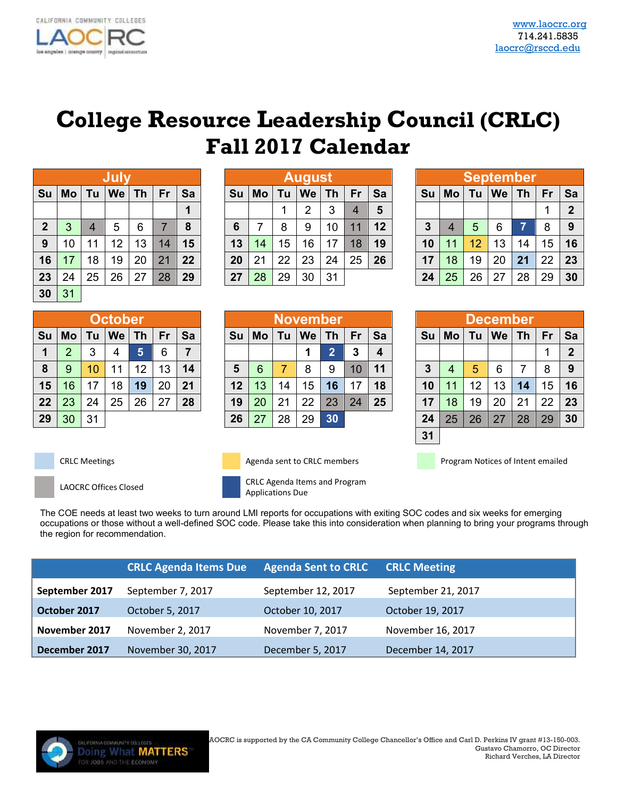## **College Resource Leadership Council (CRLC) Fall 2017 Calendar**

|                  |           |                | July |    |    |    |
|------------------|-----------|----------------|------|----|----|----|
| Su               | <b>Mo</b> | Tu             | We   | Th | Fr | Sa |
|                  |           |                |      |    |    | 1  |
| $\boldsymbol{2}$ | 3         | $\overline{4}$ | 5    | 6  | 7  | 8  |
| 9                | 10        | 11             | 12   | 13 | 14 | 15 |
| 16               | 17        | 18             | 19   | 20 | 21 | 22 |
| 23               | 24        | 25             | 26   | 27 | 28 | 29 |
| 30               | 31        |                |      |    |    |    |

|    |                |    | October |           |    |    |
|----|----------------|----|---------|-----------|----|----|
| Su | Mo             | Tu | We      | <b>Th</b> | Fr | Sa |
| 1  | $\overline{2}$ | 3  | 4       | 5         | 6  |    |
| 8  | 9              | 10 | 11      | 12        | 13 | 14 |
| 15 | 16             | 17 | 18      | 19        | 20 | 21 |
| 22 | 23             | 24 | 25      | 26        | 27 | 28 |
| 29 | 30             | 31 |         |           |    |    |

|              |    |    | Jul |    |    |    |    |    |    | August |    |    |    |    |    |    | <b>September</b> |    |    |             |
|--------------|----|----|-----|----|----|----|----|----|----|--------|----|----|----|----|----|----|------------------|----|----|-------------|
| Su           | Mo | ۱u | We  | Th | Fr | Sa | Su | Mo | Τu | We     | Τh | Fr | Sa | Su | Mo | Τu | We               | Τh | Fr | Sa          |
|              |    |    |     |    |    |    |    |    |    | റ      | 3  | 4  | 5  |    |    |    |                  |    | и  | $\mathbf 2$ |
| $\mathbf{2}$ | 3  |    | 5   | 6  |    | 8  | 6  |    | 8  | 9      | 10 | 11 | 12 | 3  |    | 5  | 6                |    | 8  | -9          |
| 9            | 10 | 11 | 12  | 13 | 14 | 15 | 13 | 14 | 15 | 16     | 17 | 18 | 19 | 10 |    | 12 | 13               | 14 | 15 | 16          |
| 16           | 17 | 18 | 19  | 20 | 21 | 22 | 20 | 21 | 22 | 23     | 24 | 25 | 26 | 17 | 18 | 19 | 20               | 21 | 22 | 23          |
| 23           | 24 | 25 | 26  | 27 | 28 | 29 | 27 | 28 | 29 | 30     | 31 |    |    | 24 | 25 | 26 | 27               | 28 | 29 | 30          |

|    |    |    | October |    |    |    |    |    |    | <b>November</b> |    |    |    |    |    |    | <b>December</b> |    |    |                |
|----|----|----|---------|----|----|----|----|----|----|-----------------|----|----|----|----|----|----|-----------------|----|----|----------------|
| Su | Mo |    | We      | Τh | Fr | Sa | Su | Mo | Τu | We              | Τh |    | Sa | Su | Mo |    | We              | Th | Fr | <b>Sa</b>      |
| 1  | 2  |    | 4       | 5  | 6  | 7  |    |    |    |                 | ◠  | 3  |    |    |    |    |                 |    |    | $\overline{2}$ |
| 8  | 9  | 10 | 11      | 12 | 13 | 14 | 5  | 6  |    | 8               | 9  | 10 | 11 | 3  |    | 5  | 6               |    | 8  | -9             |
| 15 | 16 | 17 | 18      | 19 | 20 | 21 | 12 | 13 | 14 | 15              | 16 | 17 | 18 | 10 |    | 12 | 13              | 14 | 15 | 16             |
| 22 | 23 | 24 | 25      | 26 | 27 | 28 | 19 | 20 | 21 | 22              | 23 | 24 | 25 | 17 | 18 | 19 | 20              | 21 | 22 | 23             |
| 29 | 30 | 31 |         |    |    |    | 26 | 27 | 28 | 29              | 30 |    |    | 24 | 25 | 26 | 27              | 28 | 29 | 30             |

|                |    |    | <b>September</b> |           |    |                |
|----------------|----|----|------------------|-----------|----|----------------|
| Su             | Mo | Tu | We               | <b>Th</b> | Fr | Sa             |
|                |    |    |                  |           |    | $\overline{2}$ |
| $\overline{3}$ | 4  | 5  | 6                | À1        | 8  | 9              |
| 10             | 11 | 12 | 13               | 14        | 15 | 16             |
| 17             | 18 | 19 | 20               | 21        | 22 | 23             |
| 24             | 25 | 26 | 27               | 28        | 29 | 30             |

|              |           |    | December |           |    |                |
|--------------|-----------|----|----------|-----------|----|----------------|
| Su           | <b>Mo</b> | Tu | We       | <b>Th</b> | Fr | Sa             |
|              |           |    |          |           |    | $\overline{2}$ |
| $\mathbf{3}$ | 4         | 5  | 6        | 7         | 8  | 9              |
| 10           | 11        | 12 | 13       | 14        | 15 | 16             |
| 17           | 18        | 19 | 20       | 21        | 22 | 23             |
| 24           | 25        | 26 | 27       | 28        | 29 | 30             |
| 31           |           |    |          |           |    |                |





CRLC Meetings **Agenda sent to CRLC members** Program Notices of Intent emailed

LAOCRC Offices Closed CRLC Agenda Items and Program Applications Due

The COE needs at least two weeks to turn around LMI reports for occupations with exiting SOC codes and six weeks for emerging occupations or those without a well-defined SOC code. Please take this into consideration when planning to bring your programs through the region for recommendation.

|                | <b>CRLC Agenda Items Due</b> | <b>Agenda Sent to CRLC</b> | <b>CRLC Meeting</b> |
|----------------|------------------------------|----------------------------|---------------------|
| September 2017 | September 7, 2017            | September 12, 2017         | September 21, 2017  |
| October 2017   | October 5, 2017              | October 10, 2017           | October 19, 2017    |
| November 2017  | November 2, 2017             | November 7, 2017           | November 16, 2017   |
| December 2017  | November 30, 2017            | December 5, 2017           | December 14, 2017   |